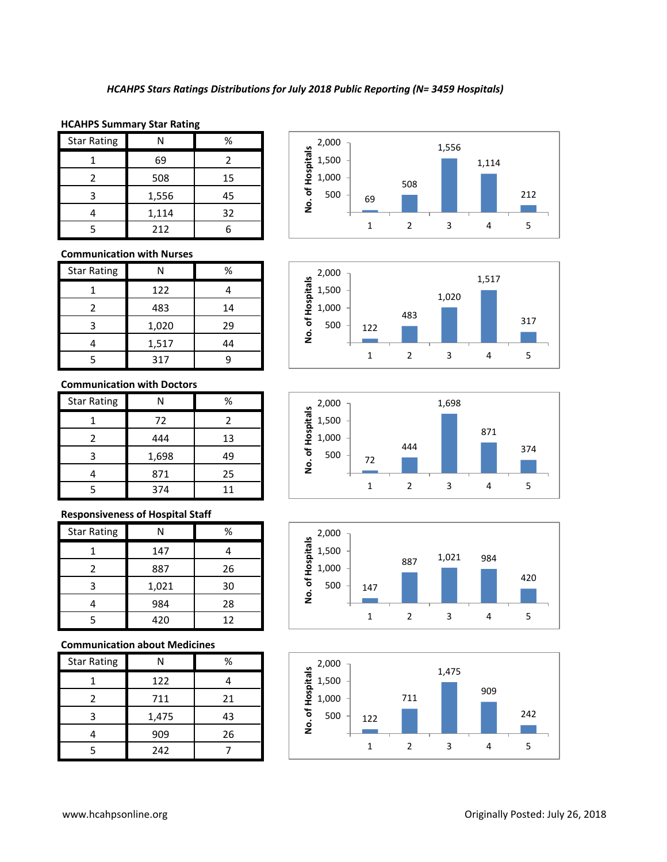#### **HCAHPS Summary Star Rating**

| <b>Star Rating</b> |       | %  |
|--------------------|-------|----|
|                    | 69    |    |
|                    | 508   | 15 |
| 3                  | 1,556 | 45 |
|                    | 1,114 | 32 |
|                    | 212   |    |

## **Communication with Nurses**

| <b>Star Rating</b> | N     | %  |
|--------------------|-------|----|
|                    | 122   |    |
| 2                  | 483   | 14 |
| 3                  | 1,020 | 29 |
|                    | 1,517 | 44 |
|                    | 317   |    |

#### **Communication with Doctors**

| <b>Star Rating</b> | N     | %  |
|--------------------|-------|----|
|                    | 72    | 2  |
| 2                  | 444   | 13 |
| 3                  | 1,698 | 49 |
|                    | 871   | 25 |
|                    | 374   | 11 |

## **Responsiveness of Hospital Staff**

| <b>Star Rating</b> | N     | ℅  |
|--------------------|-------|----|
|                    | 147   |    |
|                    | 887   | 26 |
| 3                  | 1,021 | 30 |
|                    | 984   | 28 |
|                    | 420   | 12 |

# **Communication about Medicines**

| <b>Star Rating</b> | N     | %  |
|--------------------|-------|----|
|                    | 122   |    |
| 2                  | 711   | 21 |
| з                  | 1,475 | 43 |
|                    | 909   | 26 |
|                    | 242   |    |









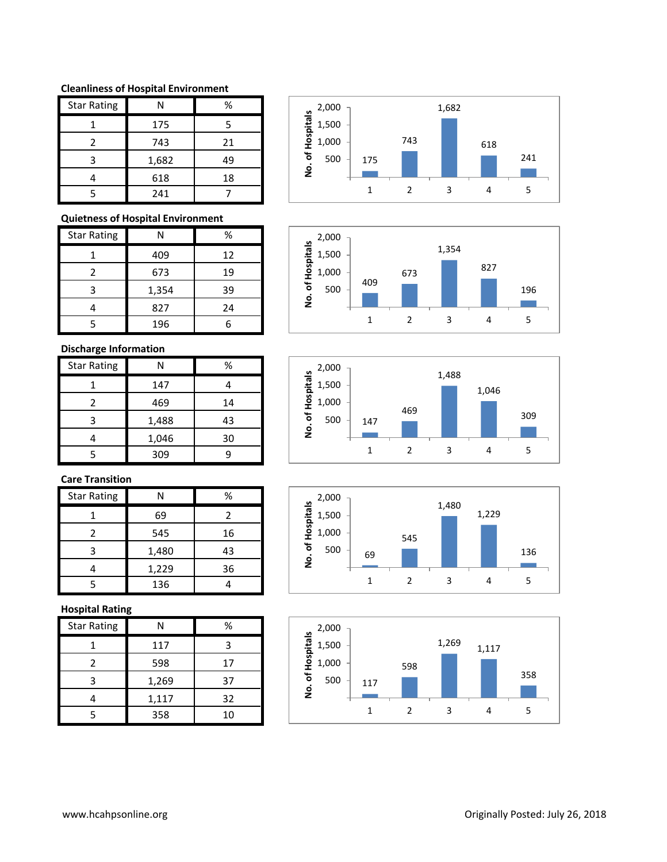#### **Cleanliness of Hospital Environment**

| <b>Star Rating</b> | Ν     | ℅  |
|--------------------|-------|----|
|                    | 175   | 5  |
| $\mathcal{P}$      | 743   | 21 |
| ੨                  | 1,682 | 49 |
|                    | 618   | 18 |
|                    | 241   |    |

# **Quietness of Hospital Environment**

| <b>Star Rating</b> | N     | %  |
|--------------------|-------|----|
|                    | 409   | 12 |
| 2                  | 673   | 19 |
| ς                  | 1,354 | 39 |
|                    | 827   | 24 |
|                    | 196   |    |

# **Discharge Information**

| <b>Star Rating</b> | N     | ℅  |
|--------------------|-------|----|
|                    | 147   |    |
| 2                  | 469   | 14 |
| ੨                  | 1,488 | 43 |
|                    | 1,046 | 30 |
|                    | 309   |    |

# **Care Transition**

| <b>Star Rating</b> | N     | ℅  |
|--------------------|-------|----|
|                    | 69    | 2  |
|                    | 545   | 16 |
|                    | 1,480 | 43 |
|                    | 1,229 | 36 |
|                    | 136   |    |

## **Hospital Rating**

| <b>Star Rating</b> | Ν     | %  |
|--------------------|-------|----|
|                    | 117   | 3  |
| 2                  | 598   | 17 |
| 3                  | 1,269 | 37 |
|                    | 1,117 | 32 |
| 5                  | 358   | 10 |